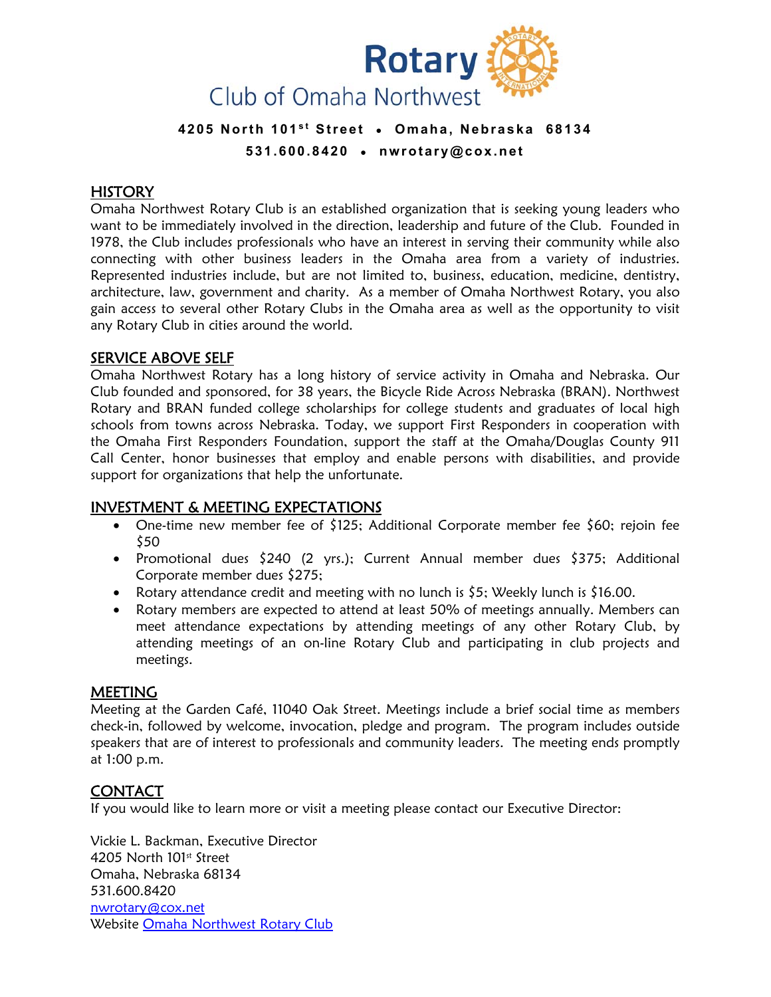

## 4205 North 101<sup>st</sup> Street • Omaha, Nebraska 68134 **531.600.8420 ● nwrotary@cox.net**

## **HISTORY**

Omaha Northwest Rotary Club is an established organization that is seeking young leaders who want to be immediately involved in the direction, leadership and future of the Club. Founded in 1978, the Club includes professionals who have an interest in serving their community while also connecting with other business leaders in the Omaha area from a variety of industries. Represented industries include, but are not limited to, business, education, medicine, dentistry, architecture, law, government and charity. As a member of Omaha Northwest Rotary, you also gain access to several other Rotary Clubs in the Omaha area as well as the opportunity to visit any Rotary Club in cities around the world.

#### SERVICE ABOVE SELF

Omaha Northwest Rotary has a long history of service activity in Omaha and Nebraska. Our Club founded and sponsored, for 38 years, the Bicycle Ride Across Nebraska (BRAN). Northwest Rotary and BRAN funded college scholarships for college students and graduates of local high schools from towns across Nebraska. Today, we support First Responders in cooperation with the Omaha First Responders Foundation, support the staff at the Omaha/Douglas County 911 Call Center, honor businesses that employ and enable persons with disabilities, and provide support for organizations that help the unfortunate.

#### INVESTMENT & MEETING EXPECTATIONS

- One-time new member fee of \$125; Additional Corporate member fee \$60; rejoin fee \$50
- Promotional dues \$240 (2 yrs.); Current Annual member dues \$375; Additional Corporate member dues \$275;
- Rotary attendance credit and meeting with no lunch is \$5; Weekly lunch is \$16.00.
- Rotary members are expected to attend at least 50% of meetings annually. Members can meet attendance expectations by attending meetings of any other Rotary Club, by attending meetings of an on-line Rotary Club and participating in club projects and meetings.

#### MEETING

Meeting at the Garden Café, 11040 Oak Street. Meetings include a brief social time as members check-in, followed by welcome, invocation, pledge and program. The program includes outside speakers that are of interest to professionals and community leaders. The meeting ends promptly at 1:00 p.m.

## CONTACT

If you would like to learn more or visit a meeting please contact our Executive Director:

Vickie L. Backman, Executive Director 4205 North 101st Street Omaha, Nebraska 68134 531.600.8420 nwrotary@cox.net Website Omaha Northwest Rotary Club